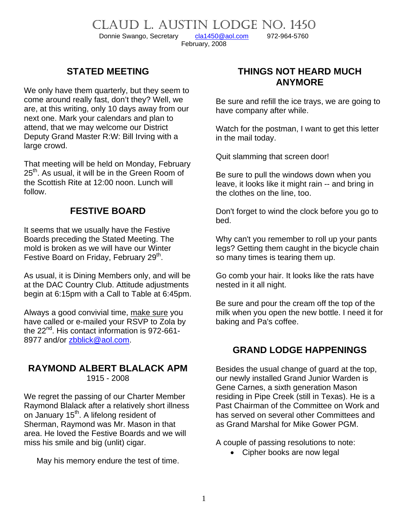CLAUD L. AUSTIN LODGE NO. 1450<br>Donnie Swango, Secretary cla1450@aol.com 972-964-5760 Donnie Swango, Secretary [cla1450@aol.com](mailto:cla1450@aol.com) 972-964-5760 February, 2008

### **STATED MEETING**

We only have them quarterly, but they seem to come around really fast, don't they? Well, we are, at this writing, only 10 days away from our next one. Mark your calendars and plan to attend, that we may welcome our District Deputy Grand Master R:W: Bill Irving with a large crowd.

That meeting will be held on Monday, February 25<sup>th</sup>. As usual, it will be in the Green Room of the Scottish Rite at 12:00 noon. Lunch will follow.

### **FESTIVE BOARD**

It seems that we usually have the Festive Boards preceding the Stated Meeting. The mold is broken as we will have our Winter Festive Board on Friday, February 29<sup>th</sup>.

As usual, it is Dining Members only, and will be at the DAC Country Club. Attitude adjustments begin at 6:15pm with a Call to Table at 6:45pm.

Always a good convivial time, make sure you have called or e-mailed your RSVP to Zola by the 22<sup>nd</sup>. His contact information is 972-6618977 and/or [zbblick@aol.com](mailto:zbblick@aol.com).

#### **RAYMOND ALBERT BLALACK APM**  1915 - 2008

We regret the passing of our Charter Member Raymond Blalack after a relatively short illness on January 15<sup>th</sup>. A lifelong resident of Sherman, Raymond was Mr. Mason in that area. He loved the Festive Boards and we will miss his smile and big (unlit) cigar.

May his memory endure the test of time.

### **THINGS NOT HEARD MUCH ANYMORE**

Be sure and refill the ice trays, we are going to have company after while.

Watch for the postman, I want to get this letter in the mail today.

Quit slamming that screen door!

Be sure to pull the windows down when you leave, it looks like it might rain -- and bring in the clothes on the line, too.

Don't forget to wind the clock before you go to bed.

Why can't you remember to roll up your pants legs? Getting them caught in the bicycle chain so many times is tearing them up.

Go comb your hair. It looks like the rats have nested in it all night.

Be sure and pour the cream off the top of the milk when you open the new bottle. I need it for baking and Pa's coffee.

# **GRAND LODGE HAPPENINGS**

Besides the usual change of guard at the top, our newly installed Grand Junior Warden is Gene Carnes, a sixth generation Mason residing in Pipe Creek (still in Texas). He is a Past Chairman of the Committee on Work and has served on several other Committees and as Grand Marshal for Mike Gower PGM.

A couple of passing resolutions to note:

• Cipher books are now legal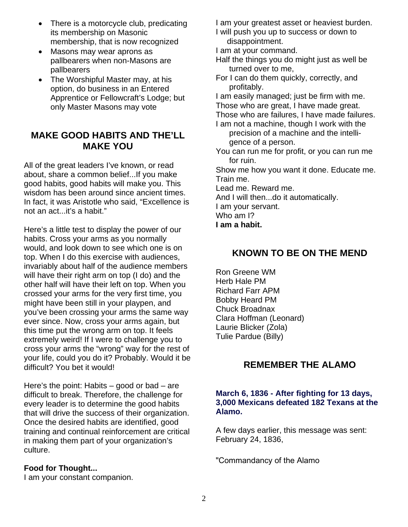- There is a motorcycle club, predicating its membership on Masonic membership, that is now recognized
- Masons may wear aprons as pallbearers when non-Masons are pallbearers
- The Worshipful Master may, at his option, do business in an Entered Apprentice or Fellowcraft's Lodge; but only Master Masons may vote

### **MAKE GOOD HABITS AND THE'LL MAKE YOU**

All of the great leaders I've known, or read about, share a common belief...If you make good habits, good habits will make you. This wisdom has been around since ancient times. In fact, it was Aristotle who said, "Excellence is not an act...it's a habit."

Here's a little test to display the power of our habits. Cross your arms as you normally would, and look down to see which one is on top. When I do this exercise with audiences, invariably about half of the audience members will have their right arm on top (I do) and the other half will have their left on top. When you crossed your arms for the very first time, you might have been still in your playpen, and you've been crossing your arms the same way ever since. Now, cross your arms again, but this time put the wrong arm on top. It feels extremely weird! If I were to challenge you to cross your arms the "wrong" way for the rest of your life, could you do it? Probably. Would it be difficult? You bet it would!

Here's the point: Habits – good or bad – are difficult to break. Therefore, the challenge for every leader is to determine the good habits that will drive the success of their organization. Once the desired habits are identified, good training and continual reinforcement are critical in making them part of your organization's culture.

#### **Food for Thought...**

I am your constant companion.

I am your greatest asset or heaviest burden.

I will push you up to success or down to disappointment.

I am at your command.

- Half the things you do might just as well be turned over to me,
- For I can do them quickly, correctly, and profitably.
- I am easily managed; just be firm with me.
- Those who are great, I have made great.

Those who are failures, I have made failures.

- I am not a machine, though I work with the precision of a machine and the intelli gence of a person.
- You can run me for profit, or you can run me for ruin.
- Show me how you want it done. Educate me. Train me.
- Lead me. Reward me.
- And I will then...do it automatically.

I am your servant.

Who am I?

**I am a habit.** 

#### **KNOWN TO BE ON THE MEND**

Ron Greene WM Herb Hale PM Richard Farr APM Bobby Heard PM Chuck Broadnax Clara Hoffman (Leonard) Laurie Blicker (Zola) Tulie Pardue (Billy)

# **REMEMBER THE ALAMO**

#### **March 6, 1836 - After fighting for 13 days, 3,000 Mexicans defeated 182 Texans at the Alamo.**

A few days earlier, this message was sent: February 24, 1836,

"Commandancy of the Alamo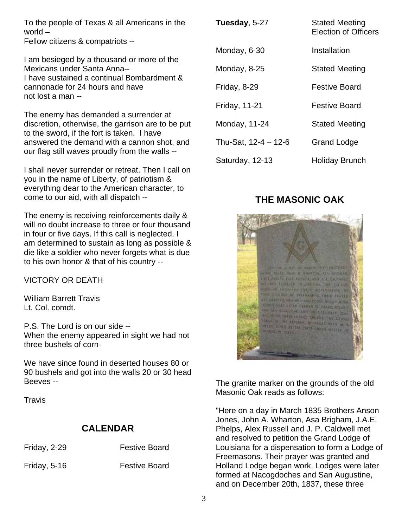To the people of Texas & all Americans in the world – Fellow citizens & compatriots --

I am besieged by a thousand or more of the Mexicans under Santa Anna-- I have sustained a continual Bombardment & cannonade for 24 hours and have not lost a man --

The enemy has demanded a surrender at discretion, otherwise, the garrison are to be put to the sword, if the fort is taken. I have answered the demand with a cannon shot, and our flag still waves proudly from the walls --

I shall never surrender or retreat. Then I call on you in the name of Liberty, of patriotism & everything dear to the American character, to come to our aid, with all dispatch --

The enemy is receiving reinforcements daily & will no doubt increase to three or four thousand in four or five days. If this call is neglected, I am determined to sustain as long as possible & die like a soldier who never forgets what is due to his own honor & that of his country --

VICTORY OR DEATH

William Barrett Travis Lt. Col. comdt.

P.S. The Lord is on our side -- When the enemy appeared in sight we had not three bushels of corn-

We have since found in deserted houses 80 or 90 bushels and got into the walls 20 or 30 head Beeves --

**Travis** 

# **CALENDAR**

| <b>Friday, 2-29</b> | <b>Festive Board</b> |
|---------------------|----------------------|
| <b>Friday, 5-16</b> | <b>Festive Board</b> |

| Tuesday, 5-27          | <b>Stated Meeting</b><br><b>Election of Officers</b> |
|------------------------|------------------------------------------------------|
| Monday, 6-30           | Installation                                         |
| Monday, 8-25           | <b>Stated Meeting</b>                                |
| Friday, 8-29           | Festive Board                                        |
| <b>Friday, 11-21</b>   | Festive Board                                        |
| Monday, 11-24          | <b>Stated Meeting</b>                                |
| Thu-Sat, $12-4 - 12-6$ | Grand Lodge                                          |
| Saturday, 12-13        | Holiday Brunch                                       |

# **THE MASONIC OAK**



The granite marker on the grounds of the old Masonic Oak reads as follows:

"Here on a day in March 1835 Brothers Anson Jones, John A. Wharton, Asa Brigham, J.A.E. Phelps, Alex Russell and J. P. Caldwell met and resolved to petition the Grand Lodge of Louisiana for a dispensation to form a Lodge of Freemasons. Their prayer was granted and Holland Lodge began work. Lodges were later formed at Nacogdoches and San Augustine, and on December 20th, 1837, these three